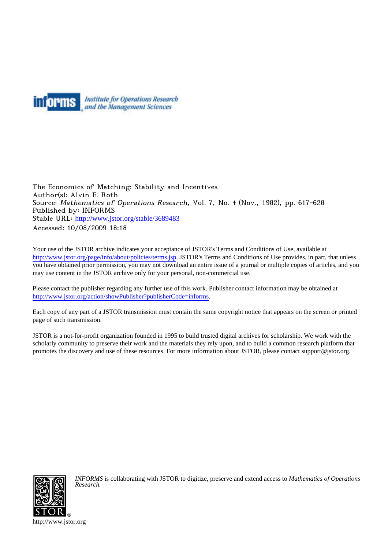

The Economics of Matching: Stability and Incentives Author(s): Alvin E. Roth Source: Mathematics of Operations Research, Vol. 7, No. 4 (Nov., 1982), pp. 617-628 Published by: INFORMS Stable URL: [http://www.jstor.org/stable/3689483](http://www.jstor.org/stable/3689483?origin=JSTOR-pdf) Accessed: 10/08/2009 18:18

Your use of the JSTOR archive indicates your acceptance of JSTOR's Terms and Conditions of Use, available at <http://www.jstor.org/page/info/about/policies/terms.jsp>. JSTOR's Terms and Conditions of Use provides, in part, that unless you have obtained prior permission, you may not download an entire issue of a journal or multiple copies of articles, and you may use content in the JSTOR archive only for your personal, non-commercial use.

Please contact the publisher regarding any further use of this work. Publisher contact information may be obtained at <http://www.jstor.org/action/showPublisher?publisherCode=informs>.

Each copy of any part of a JSTOR transmission must contain the same copyright notice that appears on the screen or printed page of such transmission.

JSTOR is a not-for-profit organization founded in 1995 to build trusted digital archives for scholarship. We work with the scholarly community to preserve their work and the materials they rely upon, and to build a common research platform that promotes the discovery and use of these resources. For more information about JSTOR, please contact support@jstor.org.



*INFORMS* is collaborating with JSTOR to digitize, preserve and extend access to *Mathematics of Operations Research.*

http://www.jstor.org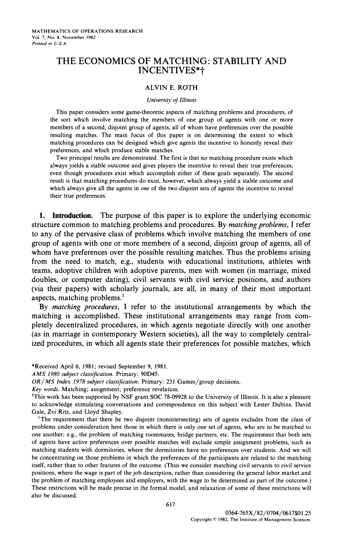## **THE ECONOMICS OF MATCHING: STABILITY AND INCENTIVES\*t**

## **ALVIN E. ROTH**

## **University of Illinois**

**This paper considers some game-theoretic aspects of matching problems and procedures, of the sort which involve matching the members of one group of agents with one or more members of a second, disjoint group of agents, all of whom have preferences over the possible resulting matches. The main focus of this paper is on determining the extent to which matching procedures can be designed which give agents the incentive to honestly reveal their preferences, and which produce stable matches.** 

**Two principal results are demonstrated. The first is that no matching procedure exists which always yields a stable outcome and gives players the incentive to reveal their true preferences, even though procedures exist which accomplish either of these goals separately. The second result is that matching procedures do exist, however, which always yield a stable outcome and which always give all the agents in one of the two disjoint sets of agents the incentive to reveal their true preferences.** 

**1. Introduction. The purpose of this paper is to explore the underlying economic structure common to matching problems and procedures. By matching problems, I refer to any of the pervasive class of problems which involve matching the members of one group of agents with one or more members of a second, disjoint group of agents, all of whom have preferences over the possible resulting matches. Thus the problems arising from the need to match, e.g., students with educational institutions, athletes with teams, adoptive children with adoptive parents, men with women (in marriage, mixed doubles, or computer dating), civil servants with civil service positions, and authors (via their papers) with scholarly journals, are all, in many of their most important aspects, matching problems.1** 

**By matching procedures, I refer to the institutional arrangements by which the matching is accomplished. These institutional arrangements may range from completely decentralized procedures, in which agents negotiate directly with one another (as in marriage in contemporary Western societies), all the way to completely centralized procedures, in which all agents state their preferences for possible matches, which** 

**\*Received April 6, 1981; revised September 9, 1981.** 

**A MS 1980 subject classification. Primary: 90D45.** 

**OR/MS Index 1978 subject classification. Primary: 231 Games/group decisions.** 

**Key words. Matching; assignment; preference revelation.** 

**tThis work has been supported by NSF grant SOC 78-09928 to the University of Illinois. It is also a pleasure to acknowledge stimulating conversations and correspondence on this subject with Lester Dubins, David Gale, Zvi Ritz, and Lloyd Shapley.** 

**'The requirement that there be two disjoint (nonintersecting) sets of agents excludes from the class of problems under consideration here those in which there is only one set of agents, who are to be matched to one another; e.g., the problem of matching roommates, bridge partners, etc. The requirement that both sets of agents have active preferences over possible matches will exclude simple assignment problems, such as matching students with dormitories, where the dormitories have no preferences over students. And we will be concentrating on those problems in which the preferences of the participants are related to the matching itself, rather than to other features of the outcome. (Thus we consider matching civil servants to civil service positions, where the wage is part of the job description, rather than considering the general labor market and the problem of matching employees and employers, with the wage to be determined as part of the outcome.) These restrictions will be made precise in the formal model, and relaxation of some of these restrictions will also be discussed.**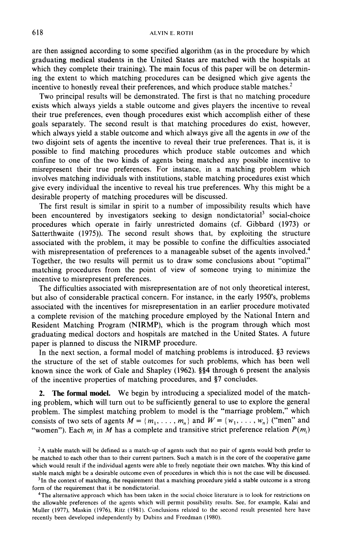**are then assigned according to some specified algorithm (as in the procedure by which graduating medical students in the United States are matched with the hospitals at**  which they complete their training). The main focus of this paper will be on determin**ing the extent to which matching procedures can be designed which give agents the incentive to honestly reveal their preferences, and which produce stable matches.2** 

**Two principal results will be demonstrated. The first is that no matching procedure exists which always yields a stable outcome and gives players the incentive to reveal their true preferences, even though procedures exist which accomplish either of these goals separately. The second result is that matching procedures do exist, however, which always yield a stable outcome and which always give all the agents in one of the two disjoint sets of agents the incentive to reveal their true preferences. That is, it is possible to find matching procedures which produce stable outcomes and which confine to one of the two kinds of agents being matched any possible incentive to misrepresent their true preferences. For instance, in a matching problem which involves matching individuals with institutions, stable matching procedures exist which give every individual the incentive to reveal his true preferences. Why this might be a desirable property of matching procedures will be discussed.** 

**The first result is similar in spirit to a number of impossibility results which have been encountered by investigators seeking to design nondictatorial3 social-choice procedures which operate in fairly unrestricted domains (cf. Gibbard (1973) or Satterthwaite (1975)). The second result shows that, by exploiting the structure associated with the problem, it may be possible to confine the difficulties associated with misrepresentation of preferences to a manageable subset of the agents involved.4 Together, the two results will permit us to draw some conclusions about "optimal" matching procedures from the point of view of someone trying to minimize the incentive to misrepresent preferences.** 

**The difficulties associated with misrepresentation are of not only theoretical interest, but also of considerable practical concern. For instance, in the early 1950's, problems associated with the incentives for misrepresentation in an earlier procedure motivated a complete revision of the matching procedure employed by the National Intern and Resident Matching Program (NIRMP), which is the program through which most graduating medical doctors and hospitals are matched in the United States. A future paper is planned to discuss the NIRMP procedure.** 

In the next section, a formal model of matching problems is introduced. §3 reviews **the structure of the set of stable outcomes for such problems, which has been well**  known since the work of Gale and Shapley (1962). §§4 through 6 present the analysis of the incentive properties of matching procedures, and §7 concludes.

**2. The formal model. We begin by introducing a specialized model of the matching problem, which will turn out to be sufficiently general to use to explore the general problem. The simplest matching problem to model is the "marriage problem," which**  consists of two sets of agents  $M = \{m_1, \ldots, m_n\}$  and  $W = \{w_1, \ldots, w_n\}$  ("men" and "women"). Each  $m_i$  in M has a complete and transitive strict preference relation  $P(m_i)$ 

**<sup>2</sup>A stable match will be defined as a match-up of agents such that no pair of agents would both prefer to be matched to each other than to their current partners. Such a match is in the core of the cooperative game which would result if the individual agents were able to freely negotiate their own matches. Why this kind of stable match might be a desirable outcome even of procedures in which this is not the case will be discussed.** 

**<sup>3</sup>In the context of matching, the requirement that a matching procedure yield a stable outcome is a strong form of the requirement that it be nondictatorial.** 

**<sup>4</sup>The alternative approach which has been taken in the social choice literature is to look for restrictions on the allowable preferences of the agents which will permit possibility results. See, for example, Kalai and Muller (1977), Maskin (1976), Ritz (1981). Conclusions related to the second result presented here have recently been developed independently by Dubins and Freedman (1980).**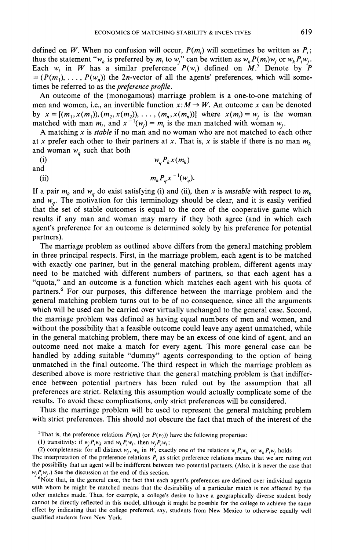defined on W. When no confusion will occur,  $P(m_i)$  will sometimes be written as  $P_i$ ; thus the statement " $w_k$  is preferred by  $m_i$  to  $w_j$ " can be written as  $w_k P(m_i) w_j$  or  $w_k P_i w_j$ . Each  $w_i$  in W has a similar preference  $P(w_i)$  defined on M.<sup>5</sup> Denote by P  $= (P(m_1), \ldots, P(w_n))$  the 2*n*-vector of all the agents' preferences, which will some**times be referred to as the preference profile.** 

**An outcome of the (monogamous) marriage problem is a one-to-one matching of**  men and women, i.e., an invertible function  $x: M \to W$ . An outcome x can be denoted by  $x = [(m_1, x(m_1)), (m_2, x(m_2)), \ldots, (m_n, x(m_n))]$  where  $x(m_i) = w_i$  is the woman matched with man  $m_i$ , and  $x^{-1}(w_i) = m_i$  is the man matched with woman  $w_i$ .

**A matching x is stable if no man and no woman who are not matched to each other**  at x prefer each other to their partners at x. That is, x is stable if there is no man  $m_k$ and woman  $w_a$  such that both

(i)  
\nand  
\n(ii)  
\n
$$
w_q P_k x(m_k)
$$
\n
$$
m_k P_q x^{-1}(w_q).
$$

If a pair  $m_k$  and  $w_q$  do exist satisfying (i) and (ii), then x is *unstable* with respect to  $m_k$ and  $w_a$ . The motivation for this terminology should be clear, and it is easily verified **that the set of stable outcomes is equal to the core of the cooperative game which results if any man and woman may marry if they both agree (and in which each agent's preference for an outcome is determined solely by his preference for potential partners).** 

**The marriage problem as outlined above differs from the general matching problem in three principal respects. First, in the marriage problem, each agent is to be matched with exactly one partner, but in the general matching problem, different agents may need to be matched with different numbers of partners, so that each agent has a "quota," and an outcome is a function which matches each agent with his quota of partners.6 For our purposes, this difference between the marriage problem and the general matching problem turns out to be of no consequence, since all the arguments which will be used can be carried over virtually unchanged to the general case. Second, the marriage problem was defined as having equal numbers of men and women, and without the possibility that a feasible outcome could leave any agent unmatched, while in the general matching problem, there may be an excess of one kind of agent, and an outcome need not make a match for every agent. This more general case can be handled by adding suitable "dummy" agents corresponding to the option of being unmatched in the final outcome. The third respect in which the marriage problem as described above is more restrictive than the general matching problem is that indifference between potential partners has been ruled out by the assumption that all preferences are strict. Relaxing this assumption would actually complicate some of the results. To avoid these complications, only strict preferences will be considered.** 

**Thus the marriage problem will be used to represent the general matching problem with strict preferences. This should not obscure the fact that much of the interest of the** 

<sup>6</sup>Note that, in the general case, the fact that each agent's preferences are defined over individual agents **with whom he might be matched means that the desirability of a particular match is not affected by the other matches made. Thus, for example, a college's desire to have a geographically diverse student body cannot be directly reflected in this model, although it might be possible for the college to achieve the same effect by indicating that the college preferred, say, students from New Mexico to otherwise equally well qualified students from New York.** 

<sup>&</sup>lt;sup>5</sup> That is, the preference relations  $P(m_i)$  (or  $P(w_i)$ ) have the following properties:

<sup>(1)</sup> transitivity: if  $w_j P_i w_k$  and  $w_k P_i w_l$ , then  $w_j P_i w_l$ ;

<sup>(2)</sup> completeness: for all distinct  $w_j$ ,  $w_k$  in W, exactly one of the relations  $w_j P_i w_k$  or  $w_k P_i w_j$  holds

The interpretation of the preference relations  $P_i$  as strict preference relations means that we are ruling out **the possibility that an agent will be indifferent between two potential partners. (Also, it is never the case that**   $w_j P_i w_j$ .) See the discussion at the end of this section.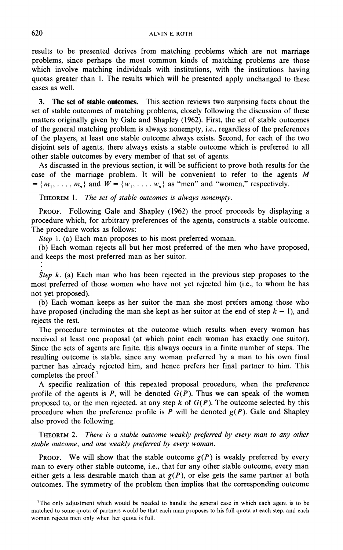**results to be presented derives from matching problems which are not marriage problems, since perhaps the most common kinds of matching problems are those which involve matching individuals with institutions, with the institutions having quotas greater than 1. The results which will be presented apply unchanged to these cases as well.** 

**3. The set of stable outcomes. This section reviews two surprising facts about the set of stable outcomes of matching problems, closely following the discussion of these matters originally given by Gale and Shapley (1962). First, the set of stable outcomes of the general matching problem is always nonempty, i.e., regardless of the preferences of the players, at least one stable outcome always exists. Second, for each of the two disjoint sets of agents, there always exists a stable outcome which is preferred to all other stable outcomes by every member of that set of agents.** 

**As discussed in the previous section, it will be sufficient to prove both results for the case of the marriage problem. It will be convenient to refer to the agents M**   $=\{m_1, \ldots, m_n\}$  and  $W = \{w_1, \ldots, w_n\}$  as "men" and "women," respectively.

**THEOREM 1. The set of stable outcomes is always nonempty.** 

**PROOF. Following Gale and Shapley (1962) the proof proceeds by displaying a procedure which, for arbitrary preferences of the agents, constructs a stable outcome. The procedure works as follows:** 

**Step 1. (a) Each man proposes to his most preferred woman.** 

**(b) Each woman rejects all but her most preferred of the men who have proposed, and keeps the most preferred man as her suitor.** 

**Step k. (a) Each man who has been rejected in the previous step proposes to the most preferred of those women who have not yet rejected him (i.e., to whom he has not yet proposed).** 

**(b) Each woman keeps as her suitor the man she most prefers among those who**  have proposed (including the man she kept as her suitor at the end of step  $k - 1$ ), and **rejects the rest.** 

**The procedure terminates at the outcome which results when every woman has received at least one proposal (at which point each woman has exactly one suitor). Since the sets of agents are finite, this always occurs in a finite number of steps. The resulting outcome is stable, since any woman preferred by a man to his own final partner has already rejected him, and hence prefers her final partner to him. This completes the proof.7** 

**A specific realization of this repeated proposal procedure, when the preference**  profile of the agents is  $P$ , will be denoted  $G(P)$ . Thus we can speak of the women proposed to, or the men rejected, at any step  $k$  of  $G(P)$ . The outcome selected by this procedure when the preference profile is  $P$  will be denoted  $g(P)$ . Gale and Shapley **also proved the following.** 

**THEOREM 2. There is a stable outcome weakly preferred by every man to any other stable outcome, and one weakly preferred by every woman.** 

**PROOF.** We will show that the stable outcome  $g(P)$  is weakly preferred by every **man to every other stable outcome, i.e., that for any other stable outcome, every man**  either gets a less desirable match than at  $g(P)$ , or else gets the same partner at both **outcomes. The symmetry of the problem then implies that the corresponding outcome** 

**<sup>7</sup>The only adjustment which would be needed to handle the general case in which each agent is to be matched to some quota of partners would be that each man proposes to his full quota at each step, and each woman rejects men only when her quota is full.**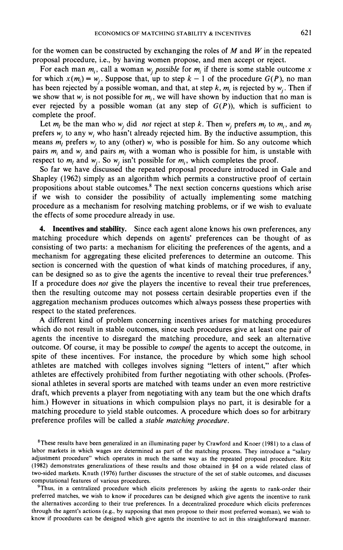for the women can be constructed by exchanging the roles of  $M$  and  $W$  in the repeated **proposal procedure, i.e., by having women propose, and men accept or reject.** 

For each man  $m_i$ , call a woman  $w_i$  possible for  $m_i$  if there is some stable outcome x for which  $x(m_i) = w_i$ . Suppose that, up to step  $k - 1$  of the procedure  $G(P)$ , no man has been rejected by a possible woman, and that, at step  $k$ ,  $m_i$  is rejected by  $w_i$ . Then if we show that  $w_i$  is not possible for  $m_i$ , we will have shown by induction that no man is ever rejected by a possible woman (at any step of  $G(P)$ ), which is sufficient to **complete the proof.** 

Let  $m_l$  be the man who  $w_i$  did not reject at step k. Then  $w_i$  prefers  $m_l$  to  $m_i$ , and  $m_l$ prefers  $w_i$  to any  $w_i$  who hasn't already rejected him. By the inductive assumption, this means  $m_l$  prefers  $w_i$  to any (other)  $w_i$  who is possible for him. So any outcome which pairs  $m_i$  and  $w_j$  and pairs  $m_j$  with a woman who is possible for him, is unstable with respect to  $m_l$  and  $w_i$ . So  $w_i$  isn't possible for  $m_i$ , which completes the proof.

**So far we have discussed the repeated proposal procedure introduced in Gale and Shapley (1962) simply as an algorithm which permits a constructive proof of certain propositions about stable outcomes.8 The next section concerns questions which arise if we wish to consider the possibility of actually implementing some matching procedure as a mechanism for resolving matching problems, or if we wish to evaluate the effects of some procedure already in use.** 

**4. Incentives and stability. Since each agent alone knows his own preferences, any matching procedure which depends on agents' preferences can be thought of as consisting of two parts: a mechanism for eliciting the preferences of the agents, and a mechanism for aggregating these elicited preferences to determine an outcome. This section is concerned with the question of what kinds of matching procedures, if any, can be designed so as to give the agents the incentive to reveal their true preferences.9 If a procedure does not give the players the incentive to reveal their true preferences, then the resulting outcome may not possess certain desirable properties even if the aggregation mechanism produces outcomes which always possess these properties with respect to the stated preferences.** 

**A different kind of problem concerning incentives arises for matching procedures which do not result in stable outcomes, since such procedures give at least one pair of agents the incentive to disregard the matching procedure, and seek an alternative outcome. Of course, it may be possible to compel the agents to accept the outcome, in spite of these incentives. For instance, the procedure by which some high school athletes are matched with colleges involves signing "letters of intent," after which athletes are effectively prohibited from further negotiating with other schools. (Professional athletes in several sports are matched with teams under an even more restrictive draft, which prevents a player from negotiating with any team but the one which drafts him.) However in situations in which compulsion plays no part, it is desirable for a matching procedure to yield stable outcomes. A procedure which does so for arbitrary preference profiles will be called a stable matching procedure.** 

**<sup>8</sup>These results have been generalized in an illuminating paper by Crawford and Knoer (1981) to a class of labor markets in which wages are determined as part of the matching process. They introduce a "salary adjustment procedure" which operates in much the same way as the repeated proposal procedure. Ritz (1982) demonstrates generalizations of these results and those obtained in ?4 on a wide related class of two-sided markets. Knuth (1976) further discusses the structure of the set of stable outcomes, and discusses computational features of various procedures.** 

**<sup>9</sup>Thus, in a centralized procedure which elicits preferences by asking the agents to rank-order their preferred matches, we wish to know if procedures can be designed which give agents the incentive to rank the alternatives according to their true preferences. In a decentralized procedure which elicits preferences through the agent's actions (e.g., by supposing that men propose to their most preferred woman), we wish to know if procedures can be designed which give agents the incentive to act in this straightforward manner.**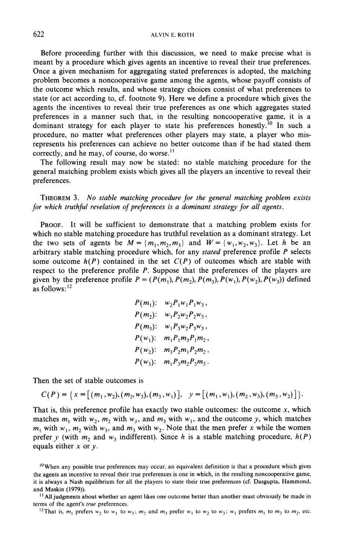**ALVIN E. ROTH** 

**Before proceeding further with this discussion, we need to make precise what is meant by a procedure which gives agents an incentive to reveal their true preferences. Once a given mechanism for aggregating stated preferences is adopted, the matching problem becomes a noncooperative game among the agents, whose payoff consists of the outcome which results, and whose strategy choices consist of what preferences to state (or act according to, cf. footnote 9). Here we define a procedure which gives the agents the incentives to reveal their true preferences as one which aggregates stated preferences in a manner such that, in the resulting noncooperative game, it is a dominant strategy for each player to state his preferences honestly.10 In such a procedure, no matter what preferences other players may state, a player who misrepresents his preferences can achieve no better outcome than if he had stated them correctly, and he may, of course, do worse."** 

**The following result may now be stated: no stable matching procedure for the general matching problem exists which gives all the players an incentive to reveal their preferences.** 

**THEOREM 3.No stable matching procedure for the general matching problem exists for which truthful revelation of preferences is a dominant strategy for all agents.** 

**PROOF. It will be sufficient to demonstrate that a matching problem exists for which no stable matching procedure has truthful revelation as a dominant strategy. Let**  the two sets of agents be  $M = \{m_1, m_2, m_3\}$  and  $W = \{w_1, w_2, w_3\}$ . Let h be an **arbitrary stable matching procedure which, for any stated preference profile P selects**  some outcome  $h(P)$  contained in the set  $C(P)$  of outcomes which are stable with **respect to the preference profile P. Suppose that the preferences of the players are**  given by the preference profile  $P = (P(m_1), P(m_2), P(m_3), P(w_1), P(w_2), P(w_3))$  defined **as follows:12** 

$$
P(m_1): w_2P_1w_1P_1w_3,
$$
  
\n
$$
P(m_2): w_1P_2w_2P_2w_3,
$$
  
\n
$$
P(m_3): w_1P_3w_2P_3w_3,
$$
  
\n
$$
P(w_1): m_1P_1m_3P_1m_2,
$$
  
\n
$$
P(w_2): m_3P_2m_1P_2m_2,
$$
  
\n
$$
P(w_3): m_1P_3m_2P_3m_3.
$$

**Then the set of stable outcomes is** 

$$
C(P) = \{x = [(m_1, w_2), (m_2, w_3), (m_3, w_1)], y = [(m_1, w_1), (m_2, w_3), (m_3, w_2)]\}.
$$

**That is, this preference profile has exactly two stable outcomes: the outcome x, which**  matches  $m_1$  with  $w_2$ ,  $m_2$  with  $w_3$ , and  $m_3$  with  $w_1$ , and the outcome y, which matches  $m_1$  with  $w_1$ ,  $m_2$  with  $w_3$ , and  $m_3$  with  $w_2$ . Note that the men prefer x while the women prefer y (with  $m_2$  and  $w_3$  indifferent). Since h is a stable matching procedure,  $h(P)$ equals either  $x$  or  $y$ .

**10When any possible true preferences may occur, an equivalent definition is that a procedure which gives the agents an incentive to reveal their true preferences is one in which, in the resulting noncooperative game, it is always a Nash equilibrium for all the players to state their true preferences (cf. Dasgupta, Hammond, and Maskin (1979)).** 

<sup>11</sup> All judgments about whether an agent likes one outcome better than another must obviously be made in **terms of the agent's true preferences.** 

<sup>12</sup>That is,  $m_1$  prefers  $w_2$  to  $w_1$  to  $w_3$ ;  $m_2$  and  $m_3$  prefer  $w_1$  to  $w_2$  to  $w_3$ ;  $w_1$  prefers  $m_1$  to  $m_3$  to  $m_2$ , etc.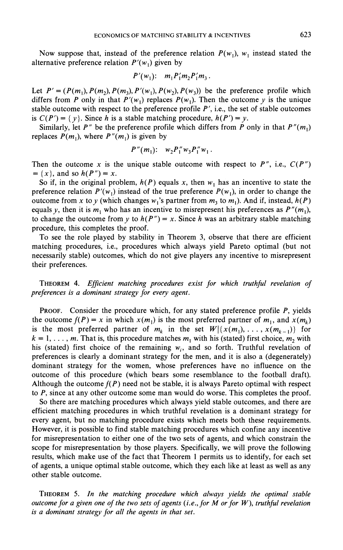Now suppose that, instead of the preference relation  $P(w_1)$ ,  $w_1$  instead stated the alternative preference relation  $P'(w_1)$  given by

$$
P'(w_1): m_1 P'_1 m_2 P'_1 m_3.
$$

Let  $P' = (P(m_1), P(m_2), P(m_3), P'(w_1), P(w_2), P(w_3))$  be the preference profile which differs from P only in that  $P'(w_1)$  replaces  $P(w_1)$ . Then the outcome y is the unique **stable outcome with respect to the preference profile P', i.e., the set of stable outcomes**  is  $C(P') = \{y\}$ . Since h is a stable matching procedure,  $h(P') = y$ .

Similarly, let P<sup>"</sup> be the preference profile which differs from P only in that  $P''(m_1)$ replaces  $P(m_1)$ , where  $P''(m_1)$  is given by

$$
P''(m_1): w_2P_1''w_3P_1''w_1.
$$

Then the outcome x is the unique stable outcome with respect to  $P''$ , i.e.,  $C(P'')$  $= \{x\}$ , and so  $h(P'') = x$ .

So if, in the original problem,  $h(P)$  equals x, then  $w_1$  has an incentive to state the preference relation  $P'(w_1)$  instead of the true preference  $P(w_1)$ , in order to change the outcome from x to y (which changes  $w_1$ 's partner from  $m_3$  to  $m_1$ ). And if, instead,  $h(P)$ equals y, then it is  $m_1$  who has an incentive to misrepresent his preferences as  $P''(m_1)$ , to change the outcome from y to  $h(P'') = x$ . Since h was an arbitrary stable matching **procedure, this completes the proof.** 

**To see the role played by stability in Theorem 3, observe that there are efficient matching procedures, i.e., procedures which always yield Pareto optimal (but not necessarily stable) outcomes, which do not give players any incentive to misrepresent their preferences.** 

**THEOREM 4. Efficient matching procedures exist for which truthful revelation of preferences is a dominant strategy for every agent.** 

**PROOF. Consider the procedure which, for any stated preference profile P, yields**  the outcome  $f(P) = x$  in which  $x(m_1)$  is the most preferred partner of  $m_1$ , and  $x(m_k)$ is the most preferred partner of  $m_k$  in the set  $W\{(x(m_1), \ldots, x(m_{k-1}))\}$  for  $k = 1, \ldots, m$ . That is, this procedure matches  $m_1$  with his (stated) first choice,  $m_2$  with his (stated) first choice of the remaining  $w_i$ , and so forth. Truthful revelation of **preferences is clearly a dominant strategy for the men, and it is also a (degenerately) dominant strategy for the women, whose preferences have no influence on the outcome of this procedure (which bears some resemblance to the football draft).**  Although the outcome  $f(P)$  need not be stable, it is always Pareto optimal with respect **to P, since at any other outcome some man would do worse. This completes the proof.** 

**So there are matching procedures which always yield stable outcomes, and there are efficient matching procedures in which truthful revelation is a dominant strategy for every agent, but no matching procedure exists which meets both these requirements. However, it is possible to find stable matching procedures which confine any incentive for misrepresentation to either one of the two sets of agents, and which constrain the scope for misrepresentation by those players. Specifically, we will prove the following results, which make use of the fact that Theorem 1 permits us to identify, for each set of agents, a unique optimal stable outcome, which they each like at least as well as any other stable outcome.** 

**THEOREM 5. In the matching procedure which always yields the optimal stable outcome for a given one of the two sets of agents (i.e., for M or for W), truthful revelation is a dominant strategy for all the agents in that set.**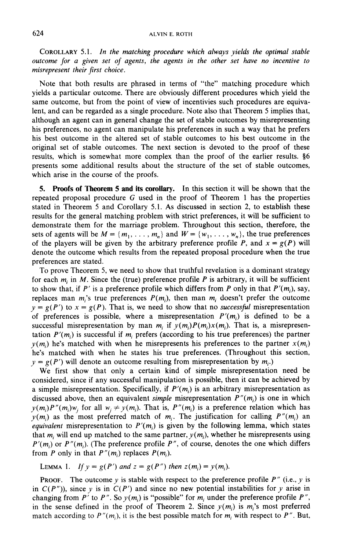**COROLLARY 5.1. In the matching procedure which always yields the optimal stable outcome for a given set of agents, the agents in the other set have no incentive to misrepresent their first choice.** 

**Note that both results are phrased in terms of "the" matching procedure which yields a particular outcome. There are obviously different procedures which yield the same outcome, but from the point of view of incentivies such procedures are equivalent, and can be regarded as a single procedure. Note also that Theorem 5 implies that, although an agent can in general change the set of stable outcomes by misrepresenting his preferences, no agent can manipulate his preferences in such a way that he prefers his best outcome in the altered set of stable outcomes to his best outcome in the original set of stable outcomes. The next section is devoted to the proof of these**  results, which is somewhat more complex than the proof of the earlier results. §6 **presents some additional results about the structure of the set of stable outcomes, which arise in the course of the proofs.** 

**Froofs of Theorem 5 and its corollary.** In this section it will be shown that the **repeated proposal procedure G used in the proof of Theorem 1 has the properties stated in Theorem 5 and Corollary 5.1. As discussed in section 2, to establish these results for the general matching problem with strict preferences, it will be sufficient to demonstrate them for the marriage problem. Throughout this section, therefore, the**  sets of agents will be  $M = \{m_1, \ldots, m_n\}$  and  $W = \{w_1, \ldots, w_n\}$ , the true preferences of the players will be given by the arbitrary preference profile P, and  $x = g(P)$  will **denote the outcome which results from the repeated proposal procedure when the true preferences are stated.** 

**To prove Theorem 5, we need to show that truthful revelation is a dominant strategy**  for each  $m_i$  in M. Since the (true) preference profile  $P$  is arbitrary, it will be sufficient to show that, if  $P'$  is a preference profile which differs from  $P$  only in that  $P'(m_i)$ , say, replaces man  $m_i$ 's true preferences  $P(m_i)$ , then man  $m_i$  doesn't prefer the outcome  $y = g(P')$  to  $x = g(P)$ . That is, we need to show that no *successful* misrepresentation of preferences is possible, where a misrepresentation  $P'(m_i)$  is defined to be a successful misrepresentation by man  $m_i$  if  $y(m_i)P(m_i)x(m_i)$ . That is, a misrepresentation  $P'(m_i)$  is successful if  $m_i$  prefers (according to his true preferences) the partner  $y(m_i)$  he's matched with when he misrepresents his preferences to the partner  $x(m_i)$ **he's matched with when he states his true preferences. (Throughout this section,**   $y = g(P')$  will denote an outcome resulting from misrepresentation by  $m_i$ .)

**We first show that only a certain kind of simple misrepresentation need be considered, since if any successful manipulation is possible, then it can be achieved by**  a simple misrepresentation. Specifically, if  $P'(m_i)$  is an arbitrary misrepresentation as discussed above, then an equivalent *simple* misrepresentation  $P''(m_i)$  is one in which  $y(m_i)P''(m_i)w_i$  for all  $w_i \neq y(m_i)$ . That is,  $P''(m_i)$  is a preference relation which has  $y(m_i)$  as the most preferred match of  $m_i$ . The justification for calling  $P''(m_i)$  an *equivalent* misrepresentation to  $P'(m)$  is given by the following lemma, which states that m<sub>i</sub> will end up matched to the same partner,  $y(m_i)$ , whether he misrepresents using  $P'(m_i)$  or  $P''(m_i)$ . (The preference profile P'', of course, denotes the one which differs from P only in that  $P''(m_i)$  replaces  $P(m_i)$ .

**LEMMA** 1. If  $y = g(P')$  and  $z = g(P'')$  then  $z(m_i) = y(m_i)$ .

**PROOF.** The outcome y is stable with respect to the preference profile  $P''$  (i.e., y is in  $C(P'')$ ), since y is in  $C(P')$  and since no new potential instabilities for y arise in changing from P' to P". So  $y(m_i)$  is "possible" for  $m_i$  under the preference profile P", in the sense defined in the proof of Theorem 2. Since  $y(m_i)$  is  $m_i$ 's most preferred match according to  $P''(m_i)$ , it is the best possible match for  $m_i$  with respect to  $P''$ . But,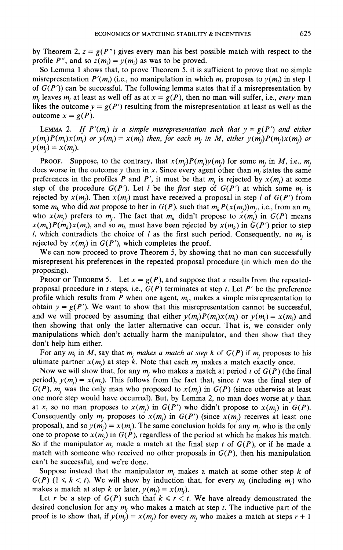by Theorem 2,  $z = g(P'')$  gives every man his best possible match with respect to the profile P'', and so  $z(m_i) = y(m_i)$  as was to be proved.

**So Lemma 1 shows that, to prove Theorem 5, it is sufficient to prove that no simple**  misrepresentation  $P'(m_i)$  (i.e., no manipulation in which  $m_i$  proposes to  $y(m_i)$  in step 1 **of G(P')) can be successful. The following lemma states that if a misrepresentation by**   $m_i$  leaves  $m_i$  at least as well off as at  $x = g(P)$ , then no man will suffer, i.e., *every* man likes the outcome  $y = g(P')$  resulting from the misrepresentation at least as well as the outcome  $x = g(P)$ .

**LEMMA** 2. If  $P'(m_i)$  is a simple misrepresentation such that  $y = g(P')$  and either  $y(m_i)P(m_i)x(m_i)$  or  $y(m_i)=x(m_i)$  then, for each m<sub>i</sub> in M, either  $y(m_i)P(m_i)x(m_i)$  or  $y(m_i) = x(m_i)$ .

**PROOF.** Suppose, to the contrary, that  $x(m_i)P(m_i)y(m_i)$  for some  $m_i$  in M, i.e.,  $m_i$ does worse in the outcome  $y$  than in x. Since every agent other than  $m_i$  states the same preferences in the profiles P and P', it must be that  $m_j$  is rejected by  $x(m_j)$  at some step of the procedure  $G(P')$ . Let *l* be the *first* step of  $G(P')$  at which some  $m_i$  is rejected by  $x(m_i)$ . Then  $x(m_i)$  must have received a proposal in step *l* of  $G(P')$  from some  $m_k$  who did *not* propose to her in  $G(P)$ , such that  $m_k P(x(m_i))m_i$ , i.e., from an  $m_k$ who  $x(m_j)$  prefers to  $m_j$ . The fact that  $m_k$  didn't propose to  $x(m_j)$  in  $G(P)$  means  $x(m_k)P(m_k)x(m_i)$ , and so  $m_k$  must have been rejected by  $x(m_k)$  in  $G(P')$  prior to step *l*, which contradicts the choice of *l* as the first such period. Consequently, no  $m_i$  is rejected by  $x(m_i)$  in  $G(P')$ , which completes the proof.

**We can now proceed to prove Theorem 5, by showing that no man can successfully misrepresent his preferences in the repeated proposal procedure (in which men do the proposing).** 

**PROOF OF THEOREM 5.** Let  $x = g(P)$ , and suppose that x results from the repeatedproposal procedure in  $t$  steps, i.e.,  $G(P)$  terminates at step  $t$ . Let  $P'$  be the preference profile which results from  $P$  when one agent,  $m_i$ , makes a simple misrepresentation to obtain  $y = g(P')$ . We want to show that this misrepresentation cannot be successful, and we will proceed by assuming that either  $y(m_i)P(m_i)x(m_i)$  or  $y(m_i) = x(m_i)$  and **then showing that only the latter alternative can occur. That is, we consider only manipulations which don't actually harm the manipulator, and then show that they don't help him either.** 

For any  $m_j$  in M, say that  $m_j$  makes a match at step k of  $G(P)$  if  $m_j$  proposes to his ultimate partner  $x(m_i)$  at step k. Note that each  $m_i$  makes a match exactly once.

Now we will show that, for any  $m_i$  who makes a match at period t of  $G(P)$  (the final period),  $y(m_i) = x(m_i)$ . This follows from the fact that, since t was the final step of  $G(P)$ ,  $m_i$  was the only man who proposed to  $x(m_i)$  in  $G(P)$  (since otherwise at least one more step would have occurred). But, by Lemma 2, no man does worse at  $y$  than at x, so no man proposes to  $x(m_j)$  in  $G(P')$  who didn't propose to  $x(m_j)$  in  $G(P)$ . Consequently only  $m_i$  proposes to  $x(m_i)$  in  $G(P')$  (since  $x(m_i)$  receives at least one **proposal), and so**  $y(m_i) = x(m_i)$ . The same conclusion holds for any  $m_i$ , who is the only one to propose to  $x(m)$  in  $G(P)$ , regardless of the period at which he makes his match. So if the manipulator  $m_i$  made a match at the final step t of  $G(P)$ , or if he made a match with someone who received no other proposals in  $G(P)$ , then his manipulation **can't be successful, and we're done.** 

Suppose instead that the manipulator  $m<sub>i</sub>$  makes a match at some other step  $k$  of  $G(P)$  ( $1 \le k \le t$ ). We will show by induction that, for every  $m_i$  (including  $m_i$ ) who makes a match at step k or later,  $y(m_i) = x(m_i)$ .

Let r be a step of  $G(P)$  such that  $k \le r \le t$ . We have already demonstrated the desired conclusion for any  $m_i$ , who makes a match at step  $t$ . The inductive part of the proof is to show that, if  $y(m_i) = x(m_i)$  for every  $m_i$  who makes a match at steps  $r + 1$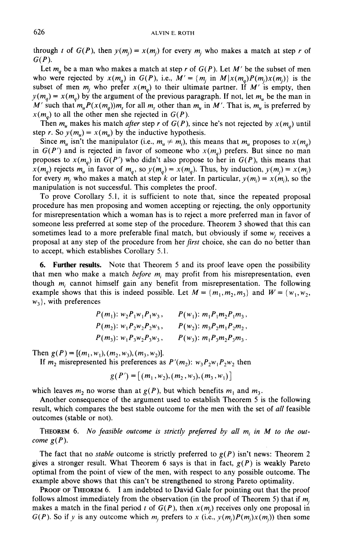through t of  $G(P)$ , then  $y(m_i) = x(m_i)$  for every  $m_i$ , who makes a match at step r of  $G(P)$ .

Let  $m_a$  be a man who makes a match at step r of  $G(P)$ . Let M' be the subset of men who were rejected by  $x(m_q)$  in  $G(P)$ , i.e.,  $M' = \{m_i \text{ in } M | x(m_q)P(m_i)x(m_i)\}\$ is the subset of men  $m_i$  who prefer  $x(m_a)$  to their ultimate partner. If M' is empty, then  $y(m_q) = x(m_q)$  by the argument of the previous paragraph. If not, let  $m_u$  be the man in M' such that  $m_u P(x(m_a))m_s$  for all  $m_s$  other than  $m_u$  in M'. That is,  $m_u$  is preferred by  $x(m_a)$  to all the other men she rejected in  $G(P)$ .

Then  $m_u$  makes his match *after* step r of  $G(P)$ , since he's not rejected by  $x(m_a)$  until step r. So  $y(m_u) = x(m_u)$  by the inductive hypothesis.

Since  $m_u$  isn't the manipulator (i.e.,  $m_u \neq m_i$ ), this means that  $m_u$  proposes to  $x(m_a)$ in  $G(P')$  and is rejected in favor of someone who  $x(m_q)$  prefers. But since no man proposes to  $x(m_q)$  in  $G(P')$  who didn't also propose to her in  $G(P)$ , this means that  $x(m_q)$  rejects  $m_u$  in favor of  $m_q$ , so  $y(m_q) = x(m_q)$ . Thus, by induction,  $y(m_j) = x(m_j)$ for every m<sub>i</sub> who makes a match at step k or later. In particular,  $y(m_i) = x(m_i)$ , so the **manipulation is not successful. This completes the proof.** 

**To prove Corollary 5.1, it is sufficient to note that, since the repeated proposal procedure has men proposing and women accepting or rejecting, the only opportunity for misrepresentation which a woman has is to reject a more preferred man in favor of someone less preferred at some step of the procedure. Theorem 3 showed that this can**  sometimes lead to a more preferable final match, but obviously if some  $w_i$  receives a **proposal at any step of the procedure from her first choice, she can do no better than to accept, which establishes Corollary 5.1.** 

**6. Further results. Note that Theorem 5 and its proof leave open the possibility**  that men who make a match *before m<sub>i</sub>* may profit from his misrepresentation, even though  $m_i$  cannot himself gain any benefit from misrepresentation. The following **example shows that this is indeed possible. Let**  $M = \{m_1, m_2, m_3\}$  **and W = \{w\_1, w\_2, w\_3, w\_4, w\_5, w\_6, w\_7, w\_8, w\_9, w\_1, w\_2, w\_3, w\_4, w\_5, w\_6, w\_7, w\_8, w\_9, w\_1, w\_2, w\_3, w\_4, w\_5, w\_6, w\_7, w\_8, w\_9, w\_1, w\_2, w\_3, w\_4, w\_5, w\_6, w\_7, w\_8, w\_9 W3), with preferences** 

| $P(m_1): w_2P_1w_1P_1w_3,$  | $P(w_1): m_1P_1m_2P_1m_3$ ,        |
|-----------------------------|------------------------------------|
| $P(m_2): w_1P_2w_2P_2w_3,$  | $P(w_2)$ : $m_3 P_2 m_1 P_2 m_2$ , |
| $P(m_3): w_1P_3w_2P_3w_3$ , | $P(w_3)$ : $m_1 P_3 m_2 P_3 m_3$ . |

**Then**  $g(P) = [(m_1, w_1), (m_2, w_3), (m_3, w_2)].$ 

If  $m_2$  misrepresented his preferences as  $P'(m_2)$ :  $w_3P_2w_1P_2w_2$  then

$$
g(P') = [(m_1, w_2), (m_2, w_3), (m_3, w_1)]
$$

which leaves  $m_2$  no worse than at  $g(P)$ , but which benefits  $m_1$  and  $m_3$ .

**Another consequence of the argument used to establish Theorem 5 is the following result, which compares the best stable outcome for the men with the set of all feasible outcomes (stable or not).** 

**THEOREM** 6. No feasible outcome is strictly preferred by all  $m_i$  in M to the out**come g(P).** 

The fact that no *stable* outcome is strictly preferred to  $g(P)$  isn't news: Theorem 2 gives a stronger result. What Theorem 6 says is that in fact,  $g(P)$  is weakly Pareto **optimal from the point of view of the men, with respect to any possible outcome. The example above shows that this can't be strengthened to strong Pareto optimality.** 

**PROOF OF THEOREM 6. I am indebted to David Gale for pointing out that the proof**  follows almost immediately from the observation (in the proof of Theorem 5) that if  $m_i$ makes a match in the final period t of  $G(P)$ , then  $x(m<sub>i</sub>)$  receives only one proposal in  $G(P)$ . So if y is any outcome which  $m_j$  prefers to x (i.e.,  $y(m_j)P(m_j)x(m_j)$ ) then some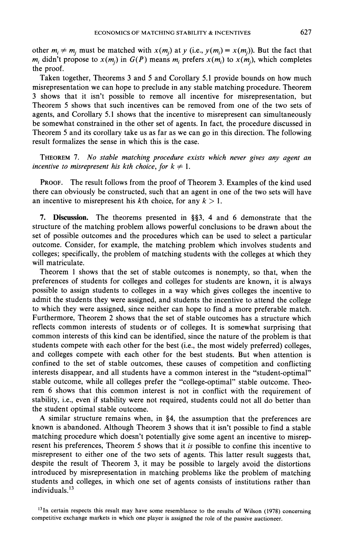other  $m_i \neq m_i$  must be matched with  $x(m_i)$  at y (i.e.,  $y(m_i) = x(m_i)$ ). But the fact that  $m_i$  didn't propose to  $x(m_i)$  in  $G(P)$  means  $m_i$  prefers  $x(m_i)$  to  $x(m_i)$ , which completes **the proof.** 

**Taken together, Theorems 3 and 5 and Corollary 5.1 provide bounds on how much misrepresentation we can hope to preclude in any stable matching procedure. Theorem 3 shows that it isn't possible to remove all incentive for misrepresentation, but Theorem 5 shows that such incentives can be removed from one of the two sets of agents, and Corollary 5.1 shows that the incentive to misrepresent can simultaneously be somewhat constrained in the other set of agents. In fact, the procedure discussed in Theorem 5 and its corollary take us as far as we can go in this direction. The following result formalizes the sense in which this is the case.** 

THEOREM 7. No stable matching procedure exists which never gives any agent an incentive to misrepresent his kth choice, for  $k \neq 1$ .

**PROOF. The result follows from the proof of Theorem 3. Examples of the kind used there can obviously be constructed, such that an agent in one of the two sets will have**  an incentive to misrepresent his kth choice, for any  $k > 1$ .

**7. Discussion.** The theorems presented in §§3, 4 and 6 demonstrate that the **structure of the matching problem allows powerful conclusions to be drawn about the set of possible outcomes and the procedures which can be used to select a particular outcome. Consider, for example, the matching problem which involves students and colleges; specifically, the problem of matching students with the colleges at which they will matriculate.** 

**Theorem 1 shows that the set of stable outcomes is nonempty, so that, when the preferences of students for colleges and colleges for students are known, it is always possible to assign students to colleges in a way which gives colleges the incentive to admit the students they were assigned, and students the incentive to attend the college to which they were assigned, since neither can hope to find a more preferable match. Furthermore, Theorem 2 shows that the set of stable outcomes has a structure which reflects common interests of students or of colleges. It is somewhat surprising that common interests of this kind can be identified, since the nature of the problem is that students compete with each other for the best (i.e., the most widely preferred) colleges, and colleges compete with each other for the best students. But when attention is confined to the set of stable outcomes, these causes of competition and conflicting interests disappear, and all students have a common interest in the "student-optimal" stable outcome, while all colleges prefer the "college-optimal" stable outcome. Theorem 6 shows that this common interest is not in conflict with the requirement of stability, i.e., even if stability were not required, students could not all do better than the student optimal stable outcome.** 

**A similar structure remains when, in ?4, the assumption that the preferences are known is abandoned. Although Theorem 3 shows that it isn't possible to find a stable matching procedure which doesn't potentially give some agent an incentive to misrepresent his preferences, Theorem 5 shows that it is possible to confine this incentive to misrepresent to either one of the two sets of agents. This latter result suggests that, despite the result of Theorem 3, it may be possible to largely avoid the distortions introduced by misrepresentation in matching problems like the problem of matching students and colleges, in which one set of agents consists of institutions rather than individuals. <sup>13</sup>**

**<sup>13</sup>In certain respects this result may have some resemblance to the results of Wilson (1978) concerning competitive exchange markets in which one player is assigned the role of the passive auctioneer.**